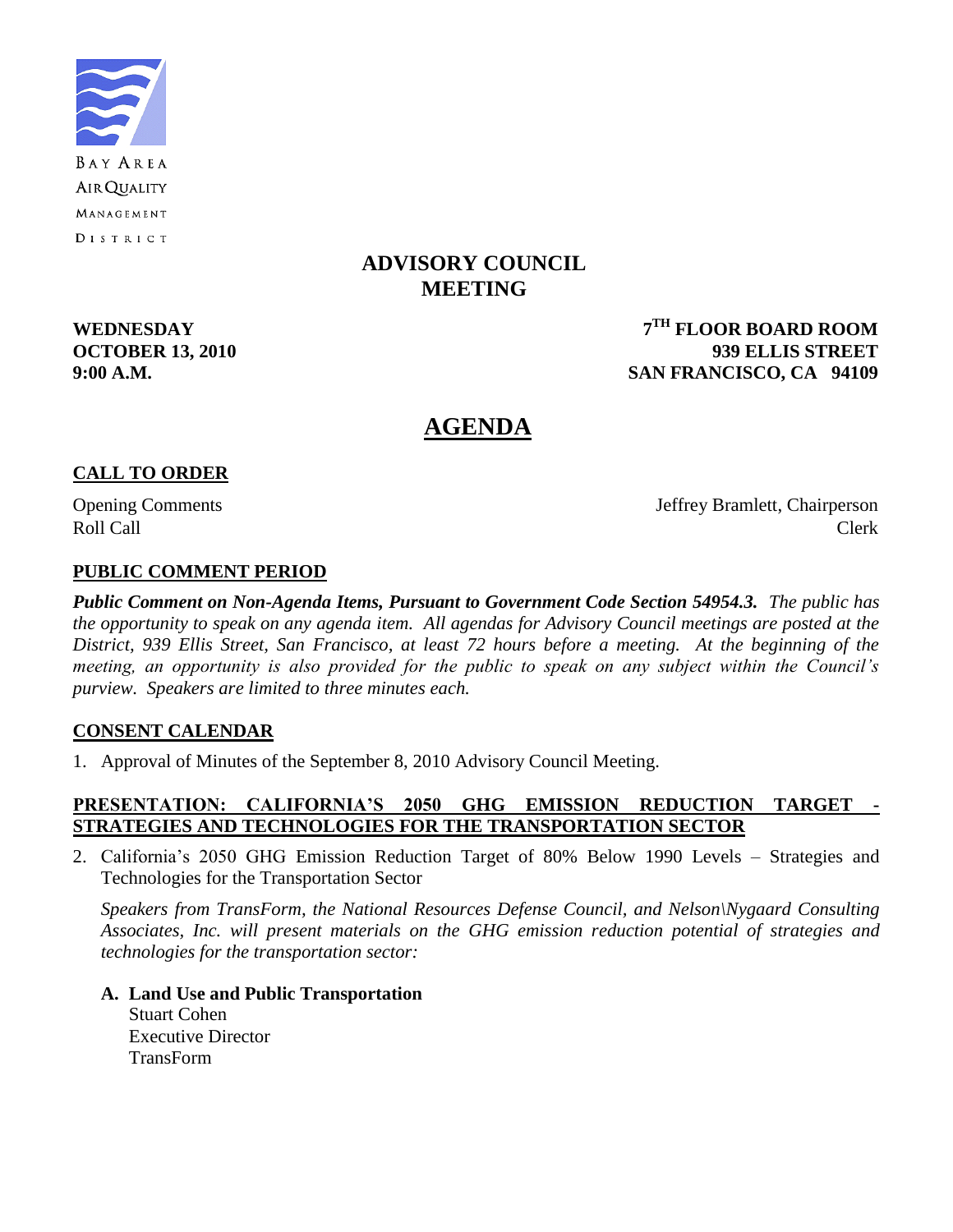

## **ADVISORY COUNCIL MEETING**

**WEDNESDAY** 

**TH FLOOR BOARD ROOM OCTOBER 13, 2010 939 ELLIS STREET 9:00 A.M. SAN FRANCISCO, CA 94109**

## **AGENDA**

### **CALL TO ORDER**

Opening Comments Jeffrey Bramlett, Chairperson Roll Call Call Contract Clerk

### **PUBLIC COMMENT PERIOD**

*Public Comment on Non-Agenda Items, Pursuant to Government Code Section 54954.3. The public has the opportunity to speak on any agenda item. All agendas for Advisory Council meetings are posted at the District, 939 Ellis Street, San Francisco, at least 72 hours before a meeting. At the beginning of the meeting, an opportunity is also provided for the public to speak on any subject within the Council's purview. Speakers are limited to three minutes each.*

### **CONSENT CALENDAR**

1. Approval of Minutes of the September 8, 2010 Advisory Council Meeting.

### **PRESENTATION: CALIFORNIA'S 2050 GHG EMISSION REDUCTION TARGET - STRATEGIES AND TECHNOLOGIES FOR THE TRANSPORTATION SECTOR**

2. California's 2050 GHG Emission Reduction Target of 80% Below 1990 Levels – Strategies and Technologies for the Transportation Sector

*Speakers from TransForm, the National Resources Defense Council, and Nelson\Nygaard Consulting Associates, Inc. will present materials on the GHG emission reduction potential of strategies and technologies for the transportation sector:*

**A. Land Use and Public Transportation** Stuart Cohen Executive Director TransForm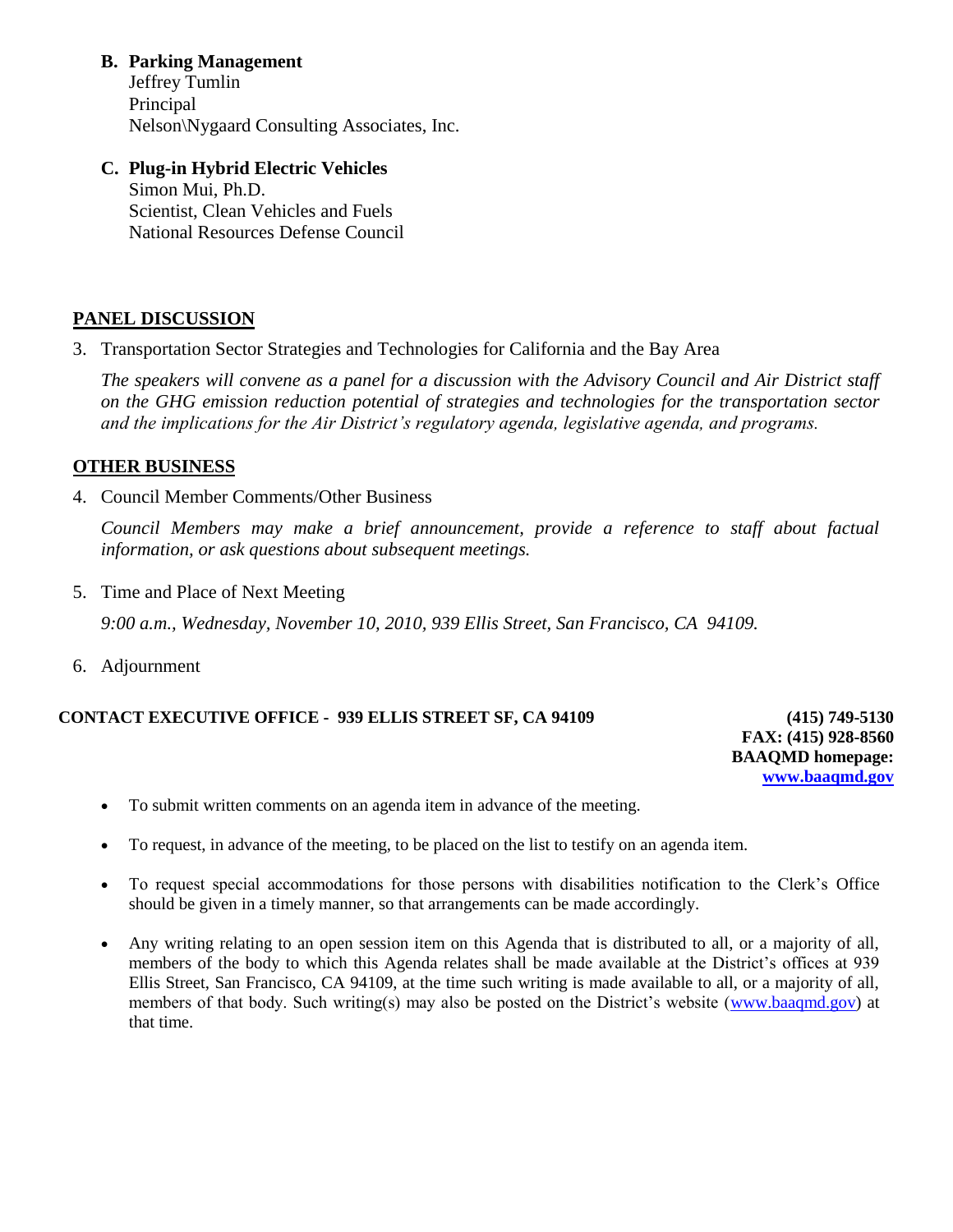**B. Parking Management**

Jeffrey Tumlin Principal Nelson\Nygaard Consulting Associates, Inc.

**C. Plug-in Hybrid Electric Vehicles** Simon Mui, Ph.D. Scientist, Clean Vehicles and Fuels National Resources Defense Council

## **PANEL DISCUSSION**

3. Transportation Sector Strategies and Technologies for California and the Bay Area

*The speakers will convene as a panel for a discussion with the Advisory Council and Air District staff on the GHG emission reduction potential of strategies and technologies for the transportation sector and the implications for the Air District's regulatory agenda, legislative agenda, and programs.*

## **OTHER BUSINESS**

4. Council Member Comments/Other Business

*Council Members may make a brief announcement, provide a reference to staff about factual information, or ask questions about subsequent meetings.*

- 5. Time and Place of Next Meeting *9:00 a.m., Wednesday, November 10, 2010, 939 Ellis Street, San Francisco, CA 94109.*
- 6. Adjournment

### **CONTACT EXECUTIVE OFFICE - 939 ELLIS STREET SF, CA 94109 (415) 749-5130**

**FAX: (415) 928-8560 BAAQMD homepage: [www.baaqmd.gov](http://www.baaqmd.gov/)**

- To submit written comments on an agenda item in advance of the meeting.
- To request, in advance of the meeting, to be placed on the list to testify on an agenda item.
- To request special accommodations for those persons with disabilities notification to the Clerk's Office should be given in a timely manner, so that arrangements can be made accordingly.
- Any writing relating to an open session item on this Agenda that is distributed to all, or a majority of all, members of the body to which this Agenda relates shall be made available at the District's offices at 939 Ellis Street, San Francisco, CA 94109, at the time such writing is made available to all, or a majority of all, members of that body. Such writing(s) may also be posted on the District's website [\(www.baaqmd.gov\)](http://www.baaqmd.gov/) at that time.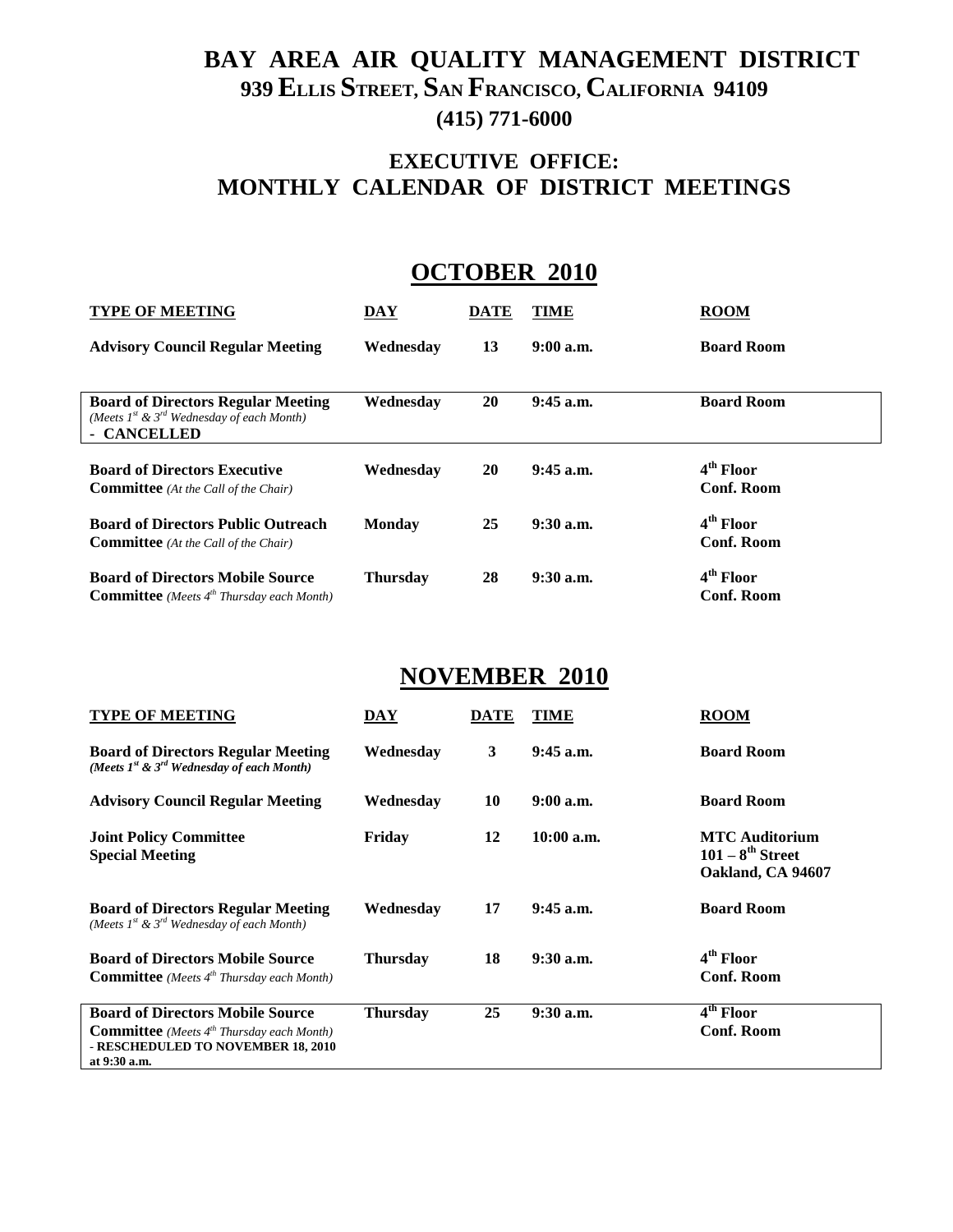# **BAY AREA AIR QUALITY MANAGEMENT DISTRICT 939 ELLIS STREET, SAN FRANCISCO, CALIFORNIA 94109 (415) 771-6000**

# **EXECUTIVE OFFICE: MONTHLY CALENDAR OF DISTRICT MEETINGS**

# **OCTOBER 2010**

| <b>TYPE OF MEETING</b>                                                                                          | DAY             | <b>DATE</b> | TIME        | <b>ROOM</b>                                |
|-----------------------------------------------------------------------------------------------------------------|-----------------|-------------|-------------|--------------------------------------------|
| <b>Advisory Council Regular Meeting</b>                                                                         | Wednesdav       | 13          | $9:00$ a.m. | <b>Board Room</b>                          |
| <b>Board of Directors Regular Meeting</b><br>(Meets $I^{st}$ & $3^{rd}$ Wednesday of each Month)<br>- CANCELLED | Wednesday       | 20          | $9:45$ a.m. | <b>Board Room</b>                          |
| <b>Board of Directors Executive</b><br><b>Committee</b> (At the Call of the Chair)                              | Wednesdav       | 20          | $9:45$ a.m. | 4 <sup>th</sup> Floor<br><b>Conf. Room</b> |
| <b>Board of Directors Public Outreach</b><br><b>Committee</b> (At the Call of the Chair)                        | <b>Monday</b>   | 25          | $9:30$ a.m. | 4 <sup>th</sup> Floor<br><b>Conf. Room</b> |
| <b>Board of Directors Mobile Source</b><br><b>Committee</b> (Meets $4^{th}$ Thursday each Month)                | <b>Thursday</b> | 28          | $9:30$ a.m. | $4th$ Floor<br><b>Conf. Room</b>           |

# **NOVEMBER 2010**

| <b>TYPE OF MEETING</b>                                                                                                                                 | DAY             | <b>DATE</b> | TIME         | <b>ROOM</b>                                                         |
|--------------------------------------------------------------------------------------------------------------------------------------------------------|-----------------|-------------|--------------|---------------------------------------------------------------------|
| <b>Board of Directors Regular Meeting</b><br>(Meets $I^{st}$ & $3^{rd}$ Wednesday of each Month)                                                       | Wednesday       | 3           | $9:45$ a.m.  | <b>Board Room</b>                                                   |
| <b>Advisory Council Regular Meeting</b>                                                                                                                | Wednesday       | 10          | $9:00$ a.m.  | <b>Board Room</b>                                                   |
| <b>Joint Policy Committee</b><br><b>Special Meeting</b>                                                                                                | Friday          | 12          | $10:00$ a.m. | <b>MTC</b> Auditorium<br>$101 - 8^{th}$ Street<br>Oakland, CA 94607 |
| <b>Board of Directors Regular Meeting</b><br>(Meets $1^{st}$ & $3^{rd}$ Wednesday of each Month)                                                       | Wednesdav       | 17          | $9:45$ a.m.  | <b>Board Room</b>                                                   |
| <b>Board of Directors Mobile Source</b><br><b>Committee</b> (Meets $4^{th}$ Thursday each Month)                                                       | <b>Thursday</b> | 18          | $9:30$ a.m.  | 4 <sup>th</sup> Floor<br>Conf. Room                                 |
| <b>Board of Directors Mobile Source</b><br><b>Committee</b> (Meets $4^{th}$ Thursday each Month)<br>- RESCHEDULED TO NOVEMBER 18, 2010<br>at 9:30 a.m. | <b>Thursday</b> | 25          | $9:30$ a.m.  | $\overline{4}^{\text{th}}$ Floor<br><b>Conf. Room</b>               |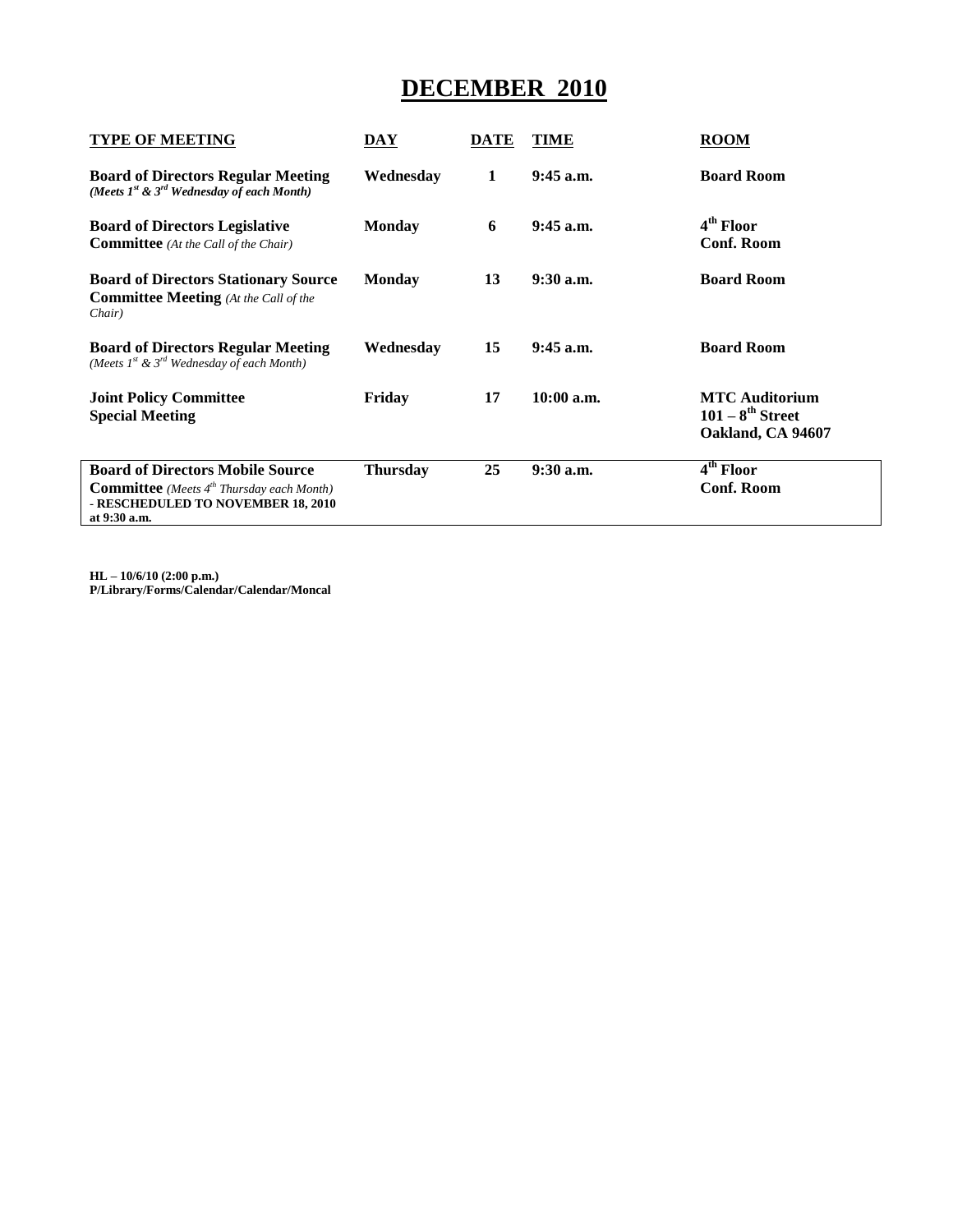# **DECEMBER 2010**

| <b>TYPE OF MEETING</b>                                                                                                                              | <b>DAY</b>      | <b>DATE</b> | TIME        | <b>ROOM</b>                                                         |
|-----------------------------------------------------------------------------------------------------------------------------------------------------|-----------------|-------------|-------------|---------------------------------------------------------------------|
| <b>Board of Directors Regular Meeting</b><br>(Meets $I^{st}$ & $3^{rd}$ Wednesday of each Month)                                                    | Wednesday       | 1           | $9:45$ a.m. | <b>Board Room</b>                                                   |
| <b>Board of Directors Legislative</b><br><b>Committee</b> (At the Call of the Chair)                                                                | <b>Monday</b>   | 6           | $9:45$ a.m. | 4 <sup>th</sup> Floor<br><b>Conf. Room</b>                          |
| <b>Board of Directors Stationary Source</b><br><b>Committee Meeting</b> (At the Call of the<br>Chair)                                               | Monday          | 13          | $9:30$ a.m. | <b>Board Room</b>                                                   |
| <b>Board of Directors Regular Meeting</b><br>(Meets $I^{st}$ & $3^{rd}$ Wednesday of each Month)                                                    | Wednesday       | 15          | $9:45$ a.m. | <b>Board Room</b>                                                   |
| <b>Joint Policy Committee</b><br><b>Special Meeting</b>                                                                                             | Friday          | 17          | 10:00 a.m.  | <b>MTC</b> Auditorium<br>$101 - 8^{th}$ Street<br>Oakland, CA 94607 |
| <b>Board of Directors Mobile Source</b><br><b>Committee</b> (Meets $4th$ Thursday each Month)<br>- RESCHEDULED TO NOVEMBER 18, 2010<br>at 9:30 a.m. | <b>Thursday</b> | 25          | $9:30$ a.m. | 4 <sup>th</sup> Floor<br><b>Conf. Room</b>                          |

**HL – 10/6/10 (2:00 p.m.) P/Library/Forms/Calendar/Calendar/Moncal**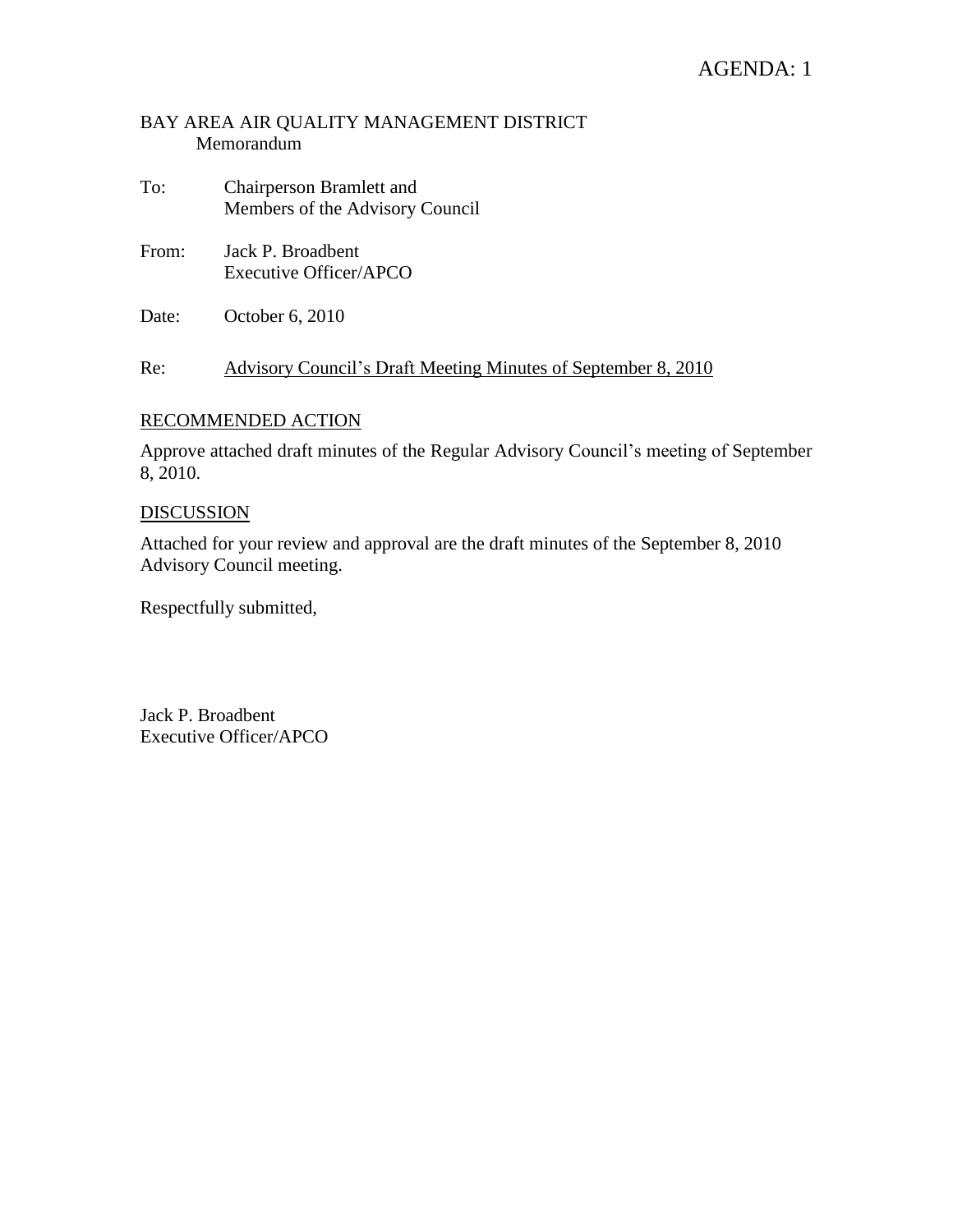## AGENDA: 1

### BAY AREA AIR QUALITY MANAGEMENT DISTRICT Memorandum

- To: Chairperson Bramlett and Members of the Advisory Council
- From: Jack P. Broadbent Executive Officer/APCO
- Date: October 6, 2010

Re: Advisory Council's Draft Meeting Minutes of September 8, 2010

### RECOMMENDED ACTION

Approve attached draft minutes of the Regular Advisory Council's meeting of September 8, 2010.

### **DISCUSSION**

Attached for your review and approval are the draft minutes of the September 8, 2010 Advisory Council meeting.

Respectfully submitted,

Jack P. Broadbent Executive Officer/APCO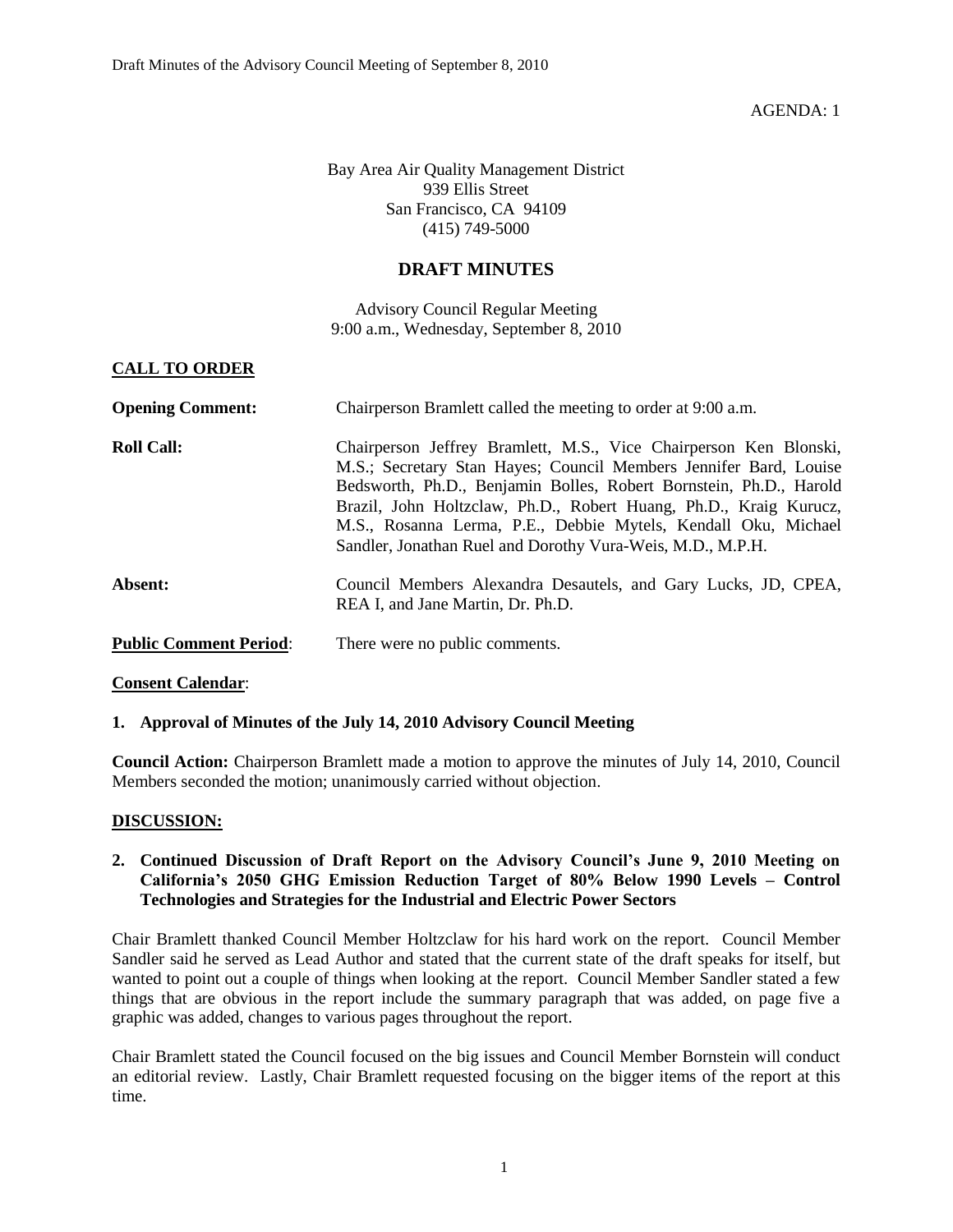AGENDA: 1

Bay Area Air Quality Management District 939 Ellis Street San Francisco, CA 94109 (415) 749-5000

### **DRAFT MINUTES**

Advisory Council Regular Meeting 9:00 a.m., Wednesday, September 8, 2010

#### **CALL TO ORDER**

| <b>Opening Comment:</b>       | Chairperson Bramlett called the meeting to order at 9:00 a.m.                                                                                                                                                                                                                                                                                                                                                     |
|-------------------------------|-------------------------------------------------------------------------------------------------------------------------------------------------------------------------------------------------------------------------------------------------------------------------------------------------------------------------------------------------------------------------------------------------------------------|
| <b>Roll Call:</b>             | Chairperson Jeffrey Bramlett, M.S., Vice Chairperson Ken Blonski,<br>M.S.; Secretary Stan Hayes; Council Members Jennifer Bard, Louise<br>Bedsworth, Ph.D., Benjamin Bolles, Robert Bornstein, Ph.D., Harold<br>Brazil, John Holtzclaw, Ph.D., Robert Huang, Ph.D., Kraig Kurucz,<br>M.S., Rosanna Lerma, P.E., Debbie Mytels, Kendall Oku, Michael<br>Sandler, Jonathan Ruel and Dorothy Vura-Weis, M.D., M.P.H. |
| Absent:                       | Council Members Alexandra Desautels, and Gary Lucks, JD, CPEA,<br>REA I, and Jane Martin, Dr. Ph.D.                                                                                                                                                                                                                                                                                                               |
| <b>Public Comment Period:</b> | There were no public comments.                                                                                                                                                                                                                                                                                                                                                                                    |

**Consent Calendar**:

#### **1. Approval of Minutes of the July 14, 2010 Advisory Council Meeting**

**Council Action:** Chairperson Bramlett made a motion to approve the minutes of July 14, 2010, Council Members seconded the motion; unanimously carried without objection.

#### **DISCUSSION:**

#### **2. Continued Discussion of Draft Report on the Advisory Council's June 9, 2010 Meeting on California's 2050 GHG Emission Reduction Target of 80% Below 1990 Levels – Control Technologies and Strategies for the Industrial and Electric Power Sectors**

Chair Bramlett thanked Council Member Holtzclaw for his hard work on the report. Council Member Sandler said he served as Lead Author and stated that the current state of the draft speaks for itself, but wanted to point out a couple of things when looking at the report. Council Member Sandler stated a few things that are obvious in the report include the summary paragraph that was added, on page five a graphic was added, changes to various pages throughout the report.

Chair Bramlett stated the Council focused on the big issues and Council Member Bornstein will conduct an editorial review. Lastly, Chair Bramlett requested focusing on the bigger items of the report at this time.